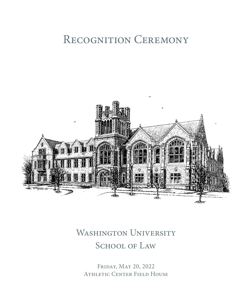# RECOGNITION CEREMONY



## WASHINGTON UNIVERSITY SCHOOL OF LAW

Friday, May 20, 2022 Athletic Center Field House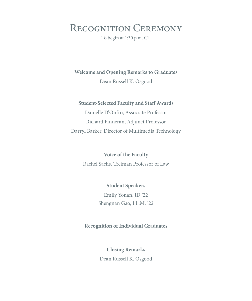Recognition Ceremony

To begin at 1:30 p.m. CT

**Welcome and Opening Remarks to Graduates**

Dean Russell K. Osgood

#### **Student-Selected Faculty and Staff Awards**

Danielle D'Onfro, Associate Professor Richard Finneran, Adjunct Professor Darryl Barker, Director of Multimedia Technology

> **Voice of the Faculty** Rachel Sachs, Treiman Professor of Law

> > **Student Speakers** Emily Yonan, JD '22 Shengnan Gao, LL.M. '22

#### **Recognition of Individual Graduates**

**Closing Remarks** Dean Russell K. Osgood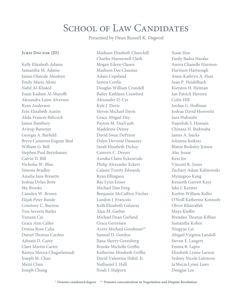## SCHOOL OF LAW CANDIDATES

Presented by Dean Russell K. Osgood

#### **Juris Doctor (JD)**

Kelly Elizabeth Adams Samantha M. Adams James Olawale Akinleye Emily Marie Akins Nabil Al-Khaled Esam Kadum Al-Shareffi Alexandra Laine Alverson Ryan Anderson Erin Elizabeth Austin Alida Frances Babcock James Bambury Avirup Banerjee Georgia A. Barfield Bryce Cameron Eugene Beal William G. Bell Stephen Paul Bertelsman Calvin D. Bill Nicholas W. Blue Simone Bradley Amelia Jane Bresette Joshua Dylan Brite Sky Brooks Camden W. Brown Elijah Peter Bunde Courtney C. Burress Tess Severin Butler Yuxuan Cai Grace Ann Calfee Donna Rose Calia Daniel Thomas Cardno Ashanti D. Carey Clare Martin Carter Ramya Meena Chagarlamudi Joseph M. Chan Meixi Chen Joseph Chung

Madison Elizabeth Churchill Charles Hunnewell Clark Megan Eileen Clasen Madison Dee Clausius Adam Copeland Samra Cordic Douglas William Crandell Bailey Kathleen Crawford Alexander D. Cyr Kyle J. Davis Steven Michael Davis Grace Abigail Day Payton M. DeaVault Madeleine Denny David Swan DePriest Dalyn Devonté Dessaure Sarah Elizabeth Dickey Camryn C. Dreyer Annika Claire Eckenrode Philip Alexander Eckert Calann Trinity Edwards Ryan Ellingson Rae Lynn Ensor Michael Dan Feng Benjamin McCaffrey Fischer Landon J. Francois Kelli Elizabeth Galaway Alan M. Garber Michael Dean Garland Grace Gerretsen Avery Michael Goodman\*\* Samuel D. Gordon Ilana Sherry Greenberg Brooke Michelle Griffin Katherine Elizabeth Griffin David Valentine Habif, Jr. Nathaniel I. Hall Noah J. Halpern

Xuan Han Emily Badea Harake Amira Chanelle Harmon Harrison Hartsough Anna-Kathryn A. Hass Sean P. Heidelbach Kiersten H. Heiman Ian Patrick Herrera Colin Hill Jordan G. Hoffman Joshua David Horowitz Sara Hubaishi Najeebah S. Hussain Chinaza N. Ihekwaba James A. Isacks Johanna Jenkins Blaine Berkeley Jensen Alec Jessar Kexi Jin Vincent K. Jones Zachary Adam Kalinowski Myungsoo Kang Kenneth Garrett Kays Jake J. Keester Korbin William Keller O'Neill Katherine Kennedy Oliver Khairallah Maya Kieffer Brendan Thomas Killian Samantha Kobor Ningyue Lai Abigail Virginia Landoll Steven E. Langert Emma R. Lapin Elizabeth Lynne Larson Sydney Nicole Latimore Ja'Mecia Lyneé Laws Dongjae Lee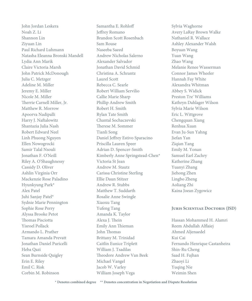John Jordan Leskera Noah Z. Li Shannon Lin Ziyuan Lin Paul Richard Luhmann Natasha Eleanna Bronski Mandell Lydia Ann Marik Claire Victoria Marsh John Patrick McDonough Julia C. Metzger Adeline M. Miller Jeremy E. Miller Nicole M. Miller Therrie Carnell Miller, Jr. Matthew R. Morrow Apoorva Nadipalli Harry J. Naftalowitz Shantazia Julia Nash Robert Edward Neel Linh Phuong Nguyen Ellen Nowogrocki Samir Talal Nsouli Jonathan F. O'Neill Riley A. O'Shaughnessy Cassidy D. Oliver Ashlin Virginia Orr Mackenzie Rose Paladino Hyunkyung Park\* Alex Patel Juhi Sanjay Patel\* Sydnie Marie Pennington Sophie Rose Perry Alyssa Brooke Petot Thomas Pisciotta Yisroel Pollack Armando L. Prather Tamara Amanda Prevatt Jonathan Daniel Puricelli Heba Qazi Sean Burnside Quigley Erin E. Riley Emil C. Risk Corbin M. Robinson

Samantha E. Rohloff Jeffrey Romano Brandon Scott Rosenbach Sam Rouse Naseeba Saeed Andrew Nicholas Salerno Alexander Salvador Jonathan David Schmid Christina A. Schrantz Laurel Scott Rebecca C. Searle Robert William Servilio Callie Marie Sharp Phillip Andrew Smith Robert H. Smith Rylan Tate Smith Chantal Sochaczevski Therese M. Sommer Tianli Song Daniel Jeffrey Estivo Sparacino Priscilla Lauren Speer Adrian D. Spencer-Smith Kimberly Anne Springstead-Chen\* Victoria St Jean Andrew M. Stautz Carissa Christine Sterling Ellie Daun Stitzer Andrew R. Stubbs Matthew T. Suddarth Rosalie Anne Swingle Xiaoxu Tang Yufeng Tang Amanda K. Taylor Alexa J. Thein Emily Ann Thieman John Thomas Brittany M. Trinidad Caitlin Eunice Triplett William I. Tsadilas Theodore Andrew Van Beek Michael Vangel Jacob W. Varley William Joseph Vega

Sylvia Waghorne Avery LaRay Brown Walke Nathaniel R. Wallace Ashley Alexander Walsh Boyuan Wang Yuan Wang Zhao Wang Melanie Renee Wasserman Connor James Wheeler Hannah Fay White Alexandra Whitman Abbey S. Widick Preston Tre' Williams Kathryn Dahlager Wilson Sylvia Marie Wilson Eric L. Wittgrove Chengquan Xiang Renhua Xuan Evan Ju-Sun Yahng Jiefan Yan Ziqian Yang Emily M. Yonan Samuel Earl Zachry Katherine Zhang Yuanyi Zhang Jiehong Zhen Lingbo Zheng Aoliang Zhi Kaina Joean Zygowicz

#### **Juris Scientiae Doctoris (JSD)**

Hassan Mohammed H. Alamri Reem Abdullah Alflaiej Ahmed Aljenaedel Kui Cai Fernando Henrique Castanheira Shin-Ru Cheng Saad H. Fajhan Zhaoyi Li Yuqing Nie Weimin Shen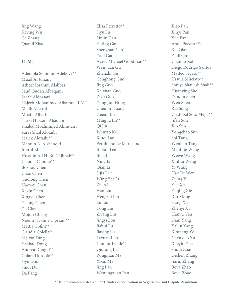Jing Wang Keying Wu Ge Zhang Quanli Zhao

#### **LL.M.**

Ademola Solomon Adeboye\*\* Muad Al Juhany Atheer Ibrahim Alabbas Saud Oudah Albaqami Sarah Aldossari Najeeb Mohammed Alhammad A\*\* Malik Alharbi Muath Alharbi Turki Hussain Aljadani Khaled Moahmmed Almutairi Fares Shail Alotaibi Malek Alotaibi\*\* Mamun A. Alshanqiti Junrui Bi Hussain Ali H. Bu Najimah\*\* Claudia Capone\*\* Bozhou Chen Chao Chen Guolong Chen Haowei Chen Kexin Chen Xingyu Chen Yicong Chen Yu Chen Mujun Cheng Noemi Jackline Cipriani\*\* Mattia Cofini\*\* Claudia Colella\*\* Meixin Ding Yanhao Dong Andrea Dongili\*\* Chiara Dordolo\*\* Siyu Dou Shiqi Du Da Fang

Elisa Ferretto\*\* Siyu Fu Linlin Gan Yuting Gan Shengnan Gao\*\* Yaqi Gao Avery Michael Goodman\*\* Wenyuan Gu Zhenzhi Gu Genghong Guo Jing Guo Kaixuan Guo Ziyu Guo Yong Jun Hong Chenlin Huang Heejin Im Mingyu Jin\*\* Qi Jin Wentao Ke Xiuqi Lao Ferdinand Le Marchand JinSun Lee Jihai Li Ning Li Qian Li Sijia Li\*\* Wing Yee Li Zhen Li Hao Liu Hengzhi Liu Lu Liu Tong Liu Ziyang Liu Jingyi Lou Jiahui Lu Jiaying Lu Layuan Luo Connor Lynde\*\* Qiutong Lyu Rongman Ma Yixin Ma Jing Pan Wenjingxuan Pan

Xiao Pan Xinyi Pan Yue Pan Anna Pezzetta\*\* Kai Qian Yudi Qin Chanho Roh Diego Rodrigo Santos Matteo Segato\*\* Ursula Seliciato\*\* Shreya Shailesh Shah\*\* Huanying She Danqin Shen Wen Shen Rui Song Cristobal Soto Mejia\*\* Jifan Sun Xin Sun Yongchao Sun Shi Tang Wenhan Tang Manting Wang Weiye Wang Xinhui Wang Yi Wang Hao Jie Wen Zijing Xi Yue Xia Yuqing Xie Xin Xiong Hang Xu Zhenyi Xu Hanyu Yan Dian Yang Yalun Yang Xinmeng Ye Chenxiao Yu Xueyin Yue Shudi Zhan Dichen Zhang Jiarui Zhang Boya Zhao Boyu Zhao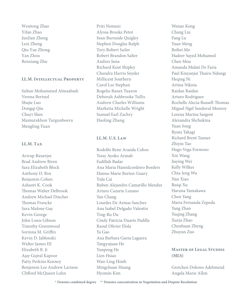Wentong Zhao Yifan Zhao JunJian Zheng Lexi Zheng Qiu Yue Zhong Yan Zhou Renxiang Zhu

#### **LL.M. Intellectual Property**

Sultan Mohammed Almaabadi Verena Bertuol Shujie Luo Dongqi Qiu Chuyi Shen Mamurakhon Turgunboeva Mengling Yuan

#### **LL.M. Tax**

Avirup Banerjee Brad Andrew Biren Sara Elizabeth Block Anthony D. Box Benjamin Cohen Ashanti K. Cook Thomas Walter Delbrook Andrew Michael Dincher Thomas Francke Sara Malone Gay Kevin George John Louis Gibson Timothy Greenwood Sorinna M. Griffin Kevin D. Jablonski Walter James III Elizabeth B. Ji Ajay Gujral Kapoor Patty Perkins Kenney Benjamin Lee Andrew Larison Clifford McQueen Luhn

Priti Nemani Alyssa Brooke Petot Sean Burnside Quigley Stephen Douglas Ralph Tory Robert Sailer Robert Brandon Salter Andres Sena Richard Kent Shipley Chandra Harris Snyder Millicent Southern Carol Lee Stephan Rogelio Banez Tuazon Deborah Ashbrooke Tullis Andrew Charles Williams Marketia Michelle Wright Samuel Earl Zachry Haoling Zhang

#### **LL.M. U.S. Law**

Rodolfo Rene Aranda Cobos Tessy Ayoko Armah Fadillah Badar Ana Maria Hamidcordeiro Borders Hanna-Marie Borten-Guary Yida Cai Ruben Alejandro Camarillo Mendez Arturo Cazarin Lozano Yan Chang Lourdes De Armas Sanchez Ana Isabel Delgado Valentin Ting-Ru Du Cindy Patricia Duarte Padilla Raoul Olivier Elola Ya Gao Ana Barbara Garza Laguera Tangyujuan He Yunpeng He Lien Hsiao Wan-Ling Hsieh Mingchuan Huang Hyomin Kim

Wenao Kong Chang Liu Fang Lu Yuan Meng Beibei Mo Hadeer Sayed Mohamed Chen Mou Amanda Mulati De Faria Paul Kinyanjui Thairu Ndungi Heqing Ni Artina Niknia Raidan Raidan Arturo Rodriguez Rochelle Alecia Russell-Thomas Miguel Ngel Sandoval Monroy Lorena Marina Sargent Alexandra Shchukina Yuan Song Ryuta Takagi Richard Brent Tanner Zhiyin Tao Hugo Vega Formoso Xin Wang Jiaying Wei Kelly Wilkes Chia-Jeng Wu Nan Xiao Ruiqi Xu Haruna Yamakawa Chen Yang Maria Fernanda Zepeda Yang Zhan Yuqing Zhang Xuxia Zhao Chenhuan Zheng Zhuyun Zuo

#### **Master of Legal Studies (MLS)**

Gretchen Dolores Adelmund Angela Marie Allen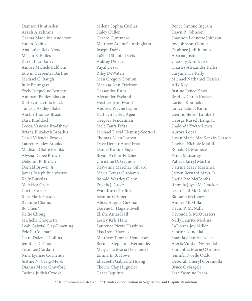Damion Hunt Allen Azzah Alzahrani Carma Madeline Anderson Sudan Anduze Ana Luiza Reis Arruda Megan E. Bailes Karen Lisa Bailey Amber Michele Baldwin Edwin Carpenter Bartine Michael C. Baugh Julie Baumgart Ezely Jacqueline Bennett Anupam Baldev Bhakta Kathryn Lavinia Black Tanasia Ashley Blake Austin Thomas Braas Dara Braddock Leoda Vanessa Bradshaw Briana Elizabeth Broadus Carol Valencia Brooks Lauren Ashley Brooks Madison Claire Brooks Alysha Denee Brown Deborah R. Brown Donald Brown, Jr. James Joseph Buenrostro Kelly Butvilas Malekica Cade Curtis Carter Katy Marie Cason Raianne Chains Bo Chen\* Kellie Chong Michelle Choquette Leah Gabrial Clay-Downing Eric R. Coleman Ciara Dalenae Collins Jennifer D. Cooper Sean Lee Cordani Nina Lynnae Cornelius Justine N. Craig-Meyer Dianna Marie Crawford Tashna Judith Crooks

Milena Sophia Cuellar Haley Cullen Gerard Cummaro Matthew Adam Cunningham Joseph Davis LaShell Shanta Davis Aubrey DeHart Payal Desai Riley DeWaters Sean Gregory Donlon Marissa Ann Erickson Cassandra Estes Alexander Eveland Heather Ann Ewald Andrew Wayne Fagon Kathryn Farley-Agee Gregory Fendelman Mele Taufa Fifita Michael David Fleming-Scott-el Thomas Allen Forrest Dave Demar Aurel Francis Daniel Kwame Fugar Bryan Arthur Fulcher Christine D. Gagnon KaWanna Marchae Gilyard Maria Teresa Girolamo Ronald Westley Glenn Enshia J. Greer Evan Kurtz Griffin Jasmine Gripper Alicia August Guzman Dorene L. Hagan-Ewell Elisha Anita Hall Lesley Kyle Hane Laurence Pierre Hawkins Lisa Irene Haynes Matthew Thomas Henderson Bernice Stephanie Hernandez Margarita Maria Hernandez Emma E. B. Howe Elizabeth Gabrielle Huang Thorne Clay Huguelet Grace Iaquinta

Renee Simone Ingram Dawn R. Johnson Shannon Lennette Johnson Joy Johnson-Gunter Daphnee Judith Jones Aparna Joshi Chassity Ann Kaiser Charles Alexander Keller Taryana Tia Kelly Michael Nathaniel Kessler Alik Key Justine Renee Knox Bradley Garen Koeven Larissa Koumaka Janice Sabnal Kuhn Dennis Steven Lambert George Russell Lang, Jr. Shalonda Yvette Lewis Aurora Loeza Susan Marie MacKenzie-Carson Chelsea Nichole Madill Ronald G. Maniece Fanta Mansaray Patrick Jarryl Martin Katrina Mary Martinez Steven Bernard Mays, Jr. Sheila Rae McCombs Rhonda Joyce McCracken Jasen Paul McDaniel Blossom McKenzie Amber McMillan Kevin P. McNally Keyonda S. McQuarters Nelly Laurice Medina LaDonna Joy Miller Sabrina Nandalal Shantia Shamise' Nash Alexis Vunika Nyirendah Samantha Marie O'Connell Jennifer Noelle Oddo Deborah Cheryl Opramolla Bruce Ovbiagele Sara Yasmine Pasha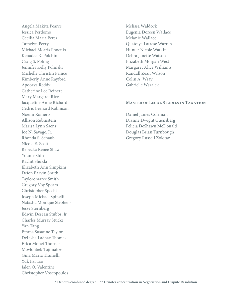Angela Makita Pearce Jessica Perdomo Cecilia Maria Perez Tamelyn Perry Michael Morris Phoenix Kenadee R. Polchin Craig S. Poling Jennifer Kelly Polinski Michelle Christin Prince Kimberly Anne Rayford Apoorva Reddy Catherine Lee Reinert Mary Margaret Rice Jacqueline Anne Richard Cedric Bernard Robinson Noemi Romero Allison Rubinstein Marisa Lynn Saenz Joe N. Savage, Jr. Rhonda S. Schaub Nicole E. Scott Rebecka Renee Shaw Youme Shin Rachit Shukla Elizabeth Ann Simpkins Deion Earvin Smith Tayloromaree Smith Gregory Voy Spears Christopher Specht Joseph Michael Spinelli Natasha Monique Stephens Jesse Sternberg Edwin Desean Stubbs, Jr. Charles Murray Stucke Yan Tang Emma Susanne Taylor DeLisha LaShae Thomas Erica Monet Thorner Movlonbek Tojimatov Gina Maria Tramelli Yuk Fai Tso Jalen O. Valentine Christopher Voscopoulos

Melissa Waldock Eugenia Doreen Wallace Melanie Wallace Quatoiya Latrese Warren Hunter Nicole Watkins Debra Janette Watson Elizabeth Morgan West Margaret Alice Williams Randall Zean Wilson Colin A. Wray Gabrielle Wszalek

#### **Master of Legal Studies in Taxation**

Daniel James Coleman Dianne Dwight Guensberg Felicia DeShawn McDonald Douglas Brian Turnbough Gregory Russell Zolotar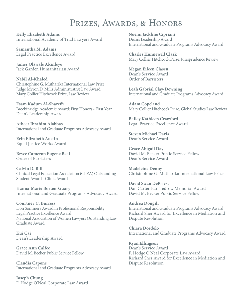### PRIZES, AWARDS, & HONORS

**Kelly Elizabeth Adams** International Academy of Trial Lawyers Award

**Samantha M. Adams** Legal Practice Excellence Award

**James Olawale Akinleye** Jack Garden Humanitarian Award

**Nabil Al-Khaled** Christophine G. Mutharika International Law Prize Judge Myron D. Mills Administrative Law Award Mary Collier Hitchcock Prize, Law Review

**Esam Kadum Al-Shareffi** Breckinridge Academic Award: First Honors - First Year Dean's Leadership Award

**Atheer Ibrahim Alabbas** International and Graduate Programs Advocacy Award

**Erin Elizabeth Austin** Equal Justice Works Award

**Bryce Cameron Eugene Beal** Order of Barristers

**Calvin D. Bill** Clinical Legal Education Association (CLEA) Outstanding Student Award - Clinic Award

**Hanna-Marie Borten-Guary** International and Graduate Programs Advocacy Award

**Courtney C. Burress** Don Sommers Award in Professional Responsibility Legal Practice Excellence Award National Association of Women Lawyers Outstanding Law Graduate Award

**Kui Cai** Dean's Leadership Award

**Grace Ann Calfee** David M. Becker Public Service Fellow

**Claudia Capone** International and Graduate Programs Advocacy Award

**Joseph Chung** F. Hodge O'Neal Corporate Law Award **Noemi Jackline Cipriani** Dean's Leadership Award International and Graduate Programs Advocacy Award

**Charles Hunnewell Clark** Mary Collier Hitchcock Prize, Jurisprudence Review

**Megan Eileen Clasen** Dean's Service Award Order of Barristers

**Leah Gabrial Clay-Downing** International and Graduate Programs Advocacy Award

**Adam Copeland** Mary Collier Hitchcock Prize, Global Studies Law Review

**Bailey Kathleen Crawford** Legal Practice Excellence Award

**Steven Michael Davis** Dean's Service Award

**Grace Abigail Day** David M. Becker Public Service Fellow Dean's Service Award

**Madeleine Denny** Christophine G. Mutharika International Law Prize

**David Swan DePriest** Dan Carter-Earl Tedrow Memorial Award David M. Becker Public Service Fellow

**Andrea Dongili** International and Graduate Programs Advocacy Award Richard Sher Award for Excellence in Mediation and Dispute Resolution

**Chiara Dordolo** International and Graduate Programs Advocacy Award

**Ryan Ellingson** Dean's Service Award F. Hodge O'Neal Corporate Law Award Richard Sher Award for Excellence in Mediation and Dispute Resolution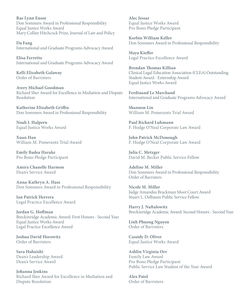**Rae Lynn Ensor** Don Sommers Award in Professional Responsibility Equal Justice Works Award Mary Collier Hitchcock Prize, Journal of Law and Policy

**Da Fang** International and Graduate Programs Advocacy Award

**Elisa Ferretto** International and Graduate Programs Advocacy Award

**Kelli Elizabeth Galaway** Order of Barristers

**Avery Michael Goodman** Richard Sher Award for Excellence in Mediation and Dispute Resolution

**Katherine Elizabeth Griffin** Don Sommers Award in Professional Responsibility

**Noah J. Halpern** Equal Justice Works Award

**Xuan Han** William M. Pomerantz Trial Award

**Emily Badea Harake** Pro Bono Pledge Participant

**Amira Chanelle Harmon**  Dean's Service Award

**Anna-Kathryn A. Hass** Don Sommers Award in Professional Responsibility

**Ian Patrick Herrera** Legal Practice Excellence Award

**Jordan G. Hoffman** Breckinridge Academic Award: First Honors - Second Year Equal Justice Works Award Legal Practice Excellence Award

**Joshua David Horowitz** Order of Barristers

**Sara Hubaishi** Dean's Leadership Award Dean's Service Award

**Johanna Jenkins**  Richard Sher Award for Excellence in Mediation and Dispute Resolution

**Alec Jessar** Equal Justice Works Award Pro Bono Pledge Participant

**Korbin William Keller** Don Sommers Award in Professional Responsibility

**Maya Kieffer** Legal Practice Excellence Award

**Brendan Thomas Killian** Clinical Legal Education Association (CLEA) Outstanding Student Award - Externship Award Equal Justice Works Award

**Ferdinand Le Marchand** International and Graduate Programs Advocacy Award

**Shannon Lin** William M. Pomerantz Trial Award

**Paul Richard Luhmann** F. Hodge O'Neal Corporate Law Award

**John Patrick McDonough** F. Hodge O'Neal Corporate Law Award

**Julia C. Metzger** David M. Becker Public Service Fellow

**Adeline M. Miller** Don Sommers Award in Professional Responsibility Order of Barristers

**Nicole M. Miller** Judge Amandus Brackman Moot Court Award Stuart L. Oelbaum Public Service Fellow

**Harry J. Naftalowitz** Breckinridge Academic Award: Second Honors - Second Year

**Linh Phuong Nguyen** Order of Barristers

**Cassidy D. Oliver** Equal Justice Works Award

**Ashlin Virginia Orr** Family Law Award Pro Bono Pledge Participant Public Service Law Student of the Year Award

**Alex Patel** Order of Barristers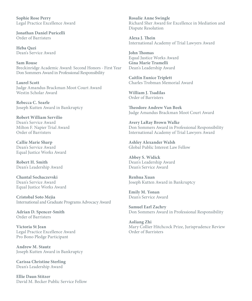**Sophie Rose Perry** Legal Practice Excellence Award

**Jonathan Daniel Puricelli** Order of Barristers

**Heba Qazi** Dean's Service Award

**Sam Rouse** Breckinridge Academic Award: Second Honors - First Year Don Sommers Award in Professional Responsibility

**Laurel Scott** Judge Amandus Brackman Moot Court Award Westin Scholar Award

**Rebecca C. Searle** Joseph Kutten Award in Bankruptcy

**Robert William Servilio** Dean's Service Award Milton F. Napier Trial Award Order of Barristers

**Callie Marie Sharp** Dean's Service Award Equal Justice Works Award

**Robert H. Smith** Dean's Leadership Award

**Chantal Sochaczevski** Dean's Service Award Equal Justice Works Award

**Cristobal Soto Mejia** International and Graduate Programs Advocacy Award

**Adrian D. Spencer-Smith** Order of Barristers

**Victoria St Jean** Legal Practice Excellence Award Pro Bono Pledge Participant

**Andrew M. Stautz** Joseph Kutten Award in Bankruptcy

**Carissa Christine Sterling** Dean's Leadership Award

**Ellie Daun Stitzer** David M. Becker Public Service Fellow **Rosalie Anne Swingle**  Richard Sher Award for Excellence in Mediation and Dispute Resolution

**Alexa J. Thein** International Academy of Trial Lawyers Award

**John Thomas** Equal Justice Works Award **Gina Marie Tramelli** Dean's Leadership Award

**Caitlin Eunice Triplett** Charles Trobman Memorial Award

**William J. Tsadilas** Order of Barristers

**Theodore Andrew Van Beek** Judge Amandus Brackman Moot Court Award

**Avery LaRay Brown Walke** Don Sommers Award in Professional Responsibility International Academy of Trial Lawyers Award

**Ashley Alexander Walsh** Global Public Interest Law Fellow

**Abbey S. Widick** Dean's Leadership Award Dean's Service Award

**Renhua Xuan** Joseph Kutten Award in Bankruptcy

**Emily M. Yonan**  Dean's Service Award

**Samuel Earl Zachry** Don Sommers Award in Professional Responsibility

**Aoliang Zhi** Mary Collier Hitchcock Prize, Jurisprudence Review Order of Barristers